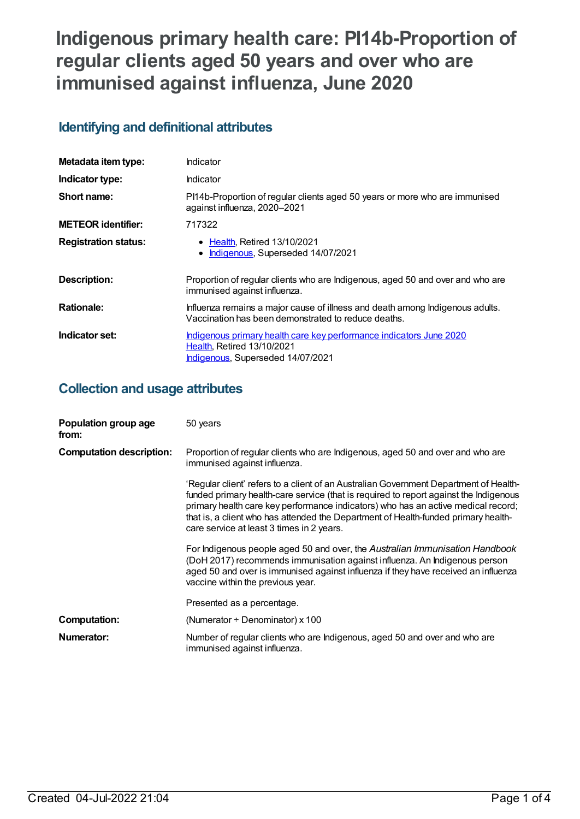# **Indigenous primary health care: PI14b-Proportion of regular clients aged 50 years and over who are immunised against influenza, June 2020**

## **Identifying and definitional attributes**

| Metadata item type:         | Indicator                                                                                                                              |
|-----------------------------|----------------------------------------------------------------------------------------------------------------------------------------|
| Indicator type:             | Indicator                                                                                                                              |
| Short name:                 | PI14b-Proportion of regular clients aged 50 years or more who are immunised<br>against influenza, 2020-2021                            |
| <b>METEOR identifier:</b>   | 717322                                                                                                                                 |
| <b>Registration status:</b> | • Health, Retired 13/10/2021<br>Indigenous, Superseded 14/07/2021<br>٠                                                                 |
| Description:                | Proportion of regular clients who are Indigenous, aged 50 and over and who are<br>immunised against influenza.                         |
| <b>Rationale:</b>           | Influenza remains a major cause of illness and death among Indigenous adults.<br>Vaccination has been demonstrated to reduce deaths.   |
| Indicator set:              | Indigenous primary health care key performance indicators June 2020<br>Health, Retired 13/10/2021<br>Indigenous, Superseded 14/07/2021 |

## **Collection and usage attributes**

| Population group age<br>from:   | 50 years                                                                                                                                                                                                                                                                                                                                                                                               |
|---------------------------------|--------------------------------------------------------------------------------------------------------------------------------------------------------------------------------------------------------------------------------------------------------------------------------------------------------------------------------------------------------------------------------------------------------|
| <b>Computation description:</b> | Proportion of regular clients who are Indigenous, aged 50 and over and who are<br>immunised against influenza.                                                                                                                                                                                                                                                                                         |
|                                 | 'Regular client' refers to a client of an Australian Government Department of Health-<br>funded primary health-care service (that is required to report against the Indigenous<br>primary health care key performance indicators) who has an active medical record;<br>that is, a client who has attended the Department of Health-funded primary health-<br>care service at least 3 times in 2 years. |
|                                 | For Indigenous people aged 50 and over, the Australian Immunisation Handbook<br>(DoH 2017) recommends immunisation against influenza. An Indigenous person<br>aged 50 and over is immunised against influenza if they have received an influenza<br>vaccine within the previous year.                                                                                                                  |
|                                 | Presented as a percentage.                                                                                                                                                                                                                                                                                                                                                                             |
| <b>Computation:</b>             | (Numerator $\div$ Denominator) x 100                                                                                                                                                                                                                                                                                                                                                                   |
| Numerator:                      | Number of regular clients who are Indigenous, aged 50 and over and who are<br>immunised against influenza.                                                                                                                                                                                                                                                                                             |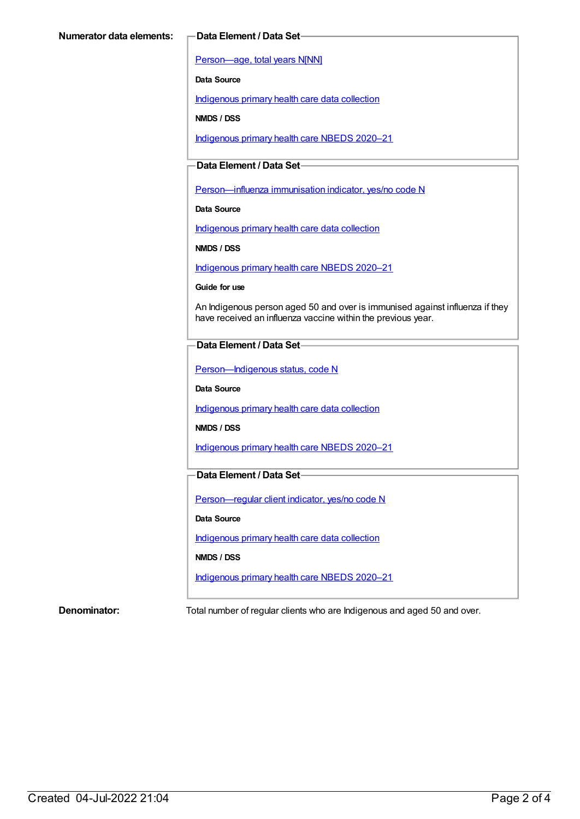[Person—age,](https://meteor.aihw.gov.au/content/303794) total years N[NN]

**Data Source**

[Indigenous](https://meteor.aihw.gov.au/content/430643) primary health care data collection

**NMDS / DSS**

[Indigenous](https://meteor.aihw.gov.au/content/715320) primary health care NBEDS 2020–21

### **Data Element / Data Set**

Person-influenza immunisation indicator, yes/no code N

**Data Source**

[Indigenous](https://meteor.aihw.gov.au/content/430643) primary health care data collection

**NMDS / DSS**

[Indigenous](https://meteor.aihw.gov.au/content/715320) primary health care NBEDS 2020–21

**Guide for use**

An Indigenous person aged 50 and over is immunised against influenza if they have received an influenza vaccine within the previous year.

#### **Data Element / Data Set**

[Person—Indigenous](https://meteor.aihw.gov.au/content/602543) status, code N

**Data Source**

[Indigenous](https://meteor.aihw.gov.au/content/430643) primary health care data collection

**NMDS / DSS**

[Indigenous](https://meteor.aihw.gov.au/content/715320) primary health care NBEDS 2020–21

#### **Data Element / Data Set**

[Person—regular](https://meteor.aihw.gov.au/content/686291) client indicator, yes/no code N

**Data Source**

[Indigenous](https://meteor.aihw.gov.au/content/430643) primary health care data collection

**NMDS / DSS**

[Indigenous](https://meteor.aihw.gov.au/content/715320) primary health care NBEDS 2020–21

**Denominator:** Total number of regular clients who are Indigenous and aged 50 and over.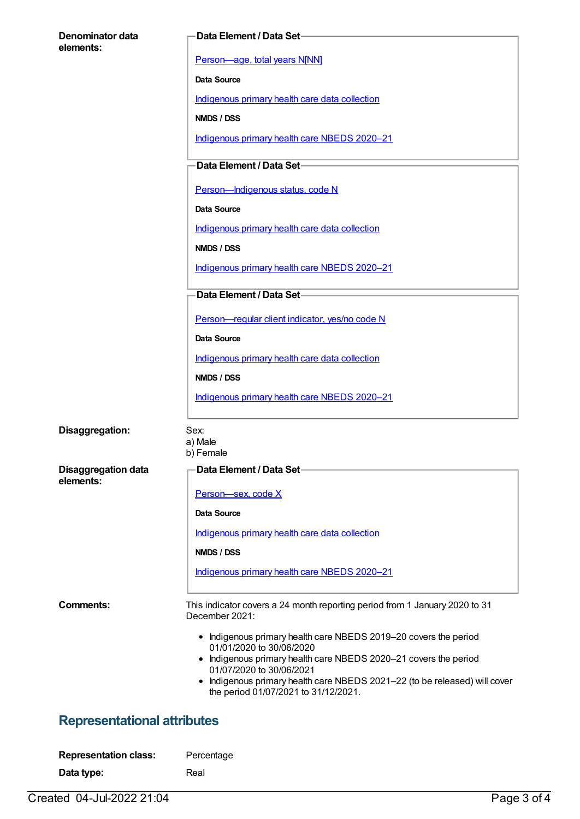| Denominator data<br>elements:      | Data Element / Data Set-                                                                                                                          |
|------------------------------------|---------------------------------------------------------------------------------------------------------------------------------------------------|
|                                    | Person-age, total years N[NN]                                                                                                                     |
|                                    | <b>Data Source</b>                                                                                                                                |
|                                    | Indigenous primary health care data collection                                                                                                    |
|                                    | NMDS / DSS                                                                                                                                        |
|                                    | Indigenous primary health care NBEDS 2020-21                                                                                                      |
|                                    | Data Element / Data Set-                                                                                                                          |
|                                    | Person-Indigenous status, code N                                                                                                                  |
|                                    | <b>Data Source</b>                                                                                                                                |
|                                    | Indigenous primary health care data collection                                                                                                    |
|                                    | NMDS / DSS                                                                                                                                        |
|                                    | Indigenous primary health care NBEDS 2020-21                                                                                                      |
|                                    | Data Element / Data Set-                                                                                                                          |
|                                    | Person-regular client indicator, yes/no code N                                                                                                    |
|                                    | <b>Data Source</b>                                                                                                                                |
|                                    | Indigenous primary health care data collection                                                                                                    |
|                                    | NMDS / DSS                                                                                                                                        |
|                                    | Indigenous primary health care NBEDS 2020-21                                                                                                      |
| Disaggregation:                    | Sex:<br>a) Male<br>b) Female                                                                                                                      |
| <b>Disaggregation data</b>         | Data Element / Data Set-                                                                                                                          |
| elements:                          | Person-sex, code X                                                                                                                                |
|                                    | Data Source                                                                                                                                       |
|                                    | Indigenous primary health care data collection                                                                                                    |
|                                    | NMDS / DSS                                                                                                                                        |
|                                    | Indigenous primary health care NBEDS 2020-21                                                                                                      |
| Comments:                          | This indicator covers a 24 month reporting period from 1 January 2020 to 31<br>December 2021:                                                     |
|                                    | • Indigenous primary health care NBEDS 2019-20 covers the period                                                                                  |
|                                    | 01/01/2020 to 30/06/2020<br>• Indigenous primary health care NBEDS 2020-21 covers the period                                                      |
|                                    | 01/07/2020 to 30/06/2021<br>Indigenous primary health care NBEDS 2021-22 (to be released) will cover<br>٠<br>the period 01/07/2021 to 31/12/2021. |
| <b>Representational attributes</b> |                                                                                                                                                   |
| <b>Representation class:</b>       | Percentage                                                                                                                                        |
| Data type:                         | Real                                                                                                                                              |